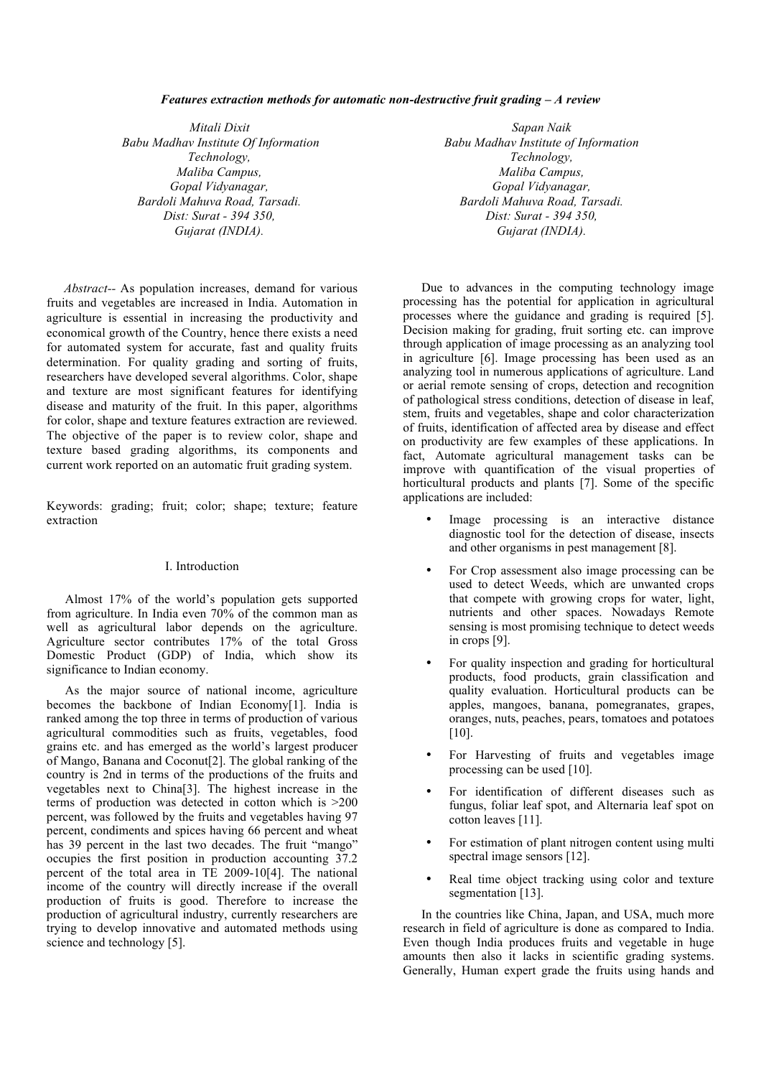## *Features extraction methods for automatic non-destructive fruit grading – A review*

*Mitali Dixit Sapan Naik Babu Madhav Institute Of Information Babu Madhav Institute of Information Technology, Technology, Maliba Campus, Maliba Campus, Gopal Vidyanagar, Gopal Vidyanagar, Bardoli Mahuva Road, Tarsadi. Bardoli Mahuva Road, Tarsadi. Dist: Surat - 394 350, Dist: Surat - 394 350,*

*Abstract--* As population increases, demand for various fruits and vegetables are increased in India. Automation in agriculture is essential in increasing the productivity and economical growth of the Country, hence there exists a need for automated system for accurate, fast and quality fruits determination. For quality grading and sorting of fruits, researchers have developed several algorithms. Color, shape and texture are most significant features for identifying disease and maturity of the fruit. In this paper, algorithms for color, shape and texture features extraction are reviewed. The objective of the paper is to review color, shape and texture based grading algorithms, its components and current work reported on an automatic fruit grading system.

Keywords: grading; fruit; color; shape; texture; feature extraction

## I. Introduction

Almost 17% of the world's population gets supported from agriculture. In India even  $70\%$  of the common man as well as agricultural labor depends on the agriculture. Agriculture sector contributes 17% of the total Gross Domestic Product (GDP) of India, which show its significance to Indian economy.

As the major source of national income, agriculture becomes the backbone of Indian Economy[1]. India is ranked among the top three in terms of production of various agricultural commodities such as fruits, vegetables, food grains etc. and has emerged as the world's largest producer of Mango, Banana and Coconut[2]. The global ranking of the country is 2nd in terms of the productions of the fruits and vegetables next to China[3]. The highest increase in the terms of production was detected in cotton which is >200 percent, was followed by the fruits and vegetables having 97 percent, condiments and spices having 66 percent and wheat has 39 percent in the last two decades. The fruit "mango" occupies the first position in production accounting 37.2 percent of the total area in TE 2009-10[4]. The national income of the country will directly increase if the overall production of fruits is good. Therefore to increase the production of agricultural industry, currently researchers are trying to develop innovative and automated methods using science and technology [5].

*Gujarat (INDIA). Gujarat (INDIA).*

Due to advances in the computing technology image processing has the potential for application in agricultural processes where the guidance and grading is required [5]. Decision making for grading, fruit sorting etc. can improve through application of image processing as an analyzing tool in agriculture [6]. Image processing has been used as an analyzing tool in numerous applications of agriculture. Land or aerial remote sensing of crops, detection and recognition of pathological stress conditions, detection of disease in leaf, stem, fruits and vegetables, shape and color characterization of fruits, identification of affected area by disease and effect on productivity are few examples of these applications. In fact, Automate agricultural management tasks can be improve with quantification of the visual properties of horticultural products and plants [7]. Some of the specific applications are included:

- Image processing is an interactive distance diagnostic tool for the detection of disease, insects and other organisms in pest management [8].
- For Crop assessment also image processing can be used to detect Weeds, which are unwanted crops that compete with growing crops for water, light, nutrients and other spaces. Nowadays Remote sensing is most promising technique to detect weeds in crops [9].
- For quality inspection and grading for horticultural products, food products, grain classification and quality evaluation. Horticultural products can be apples, mangoes, banana, pomegranates, grapes, oranges, nuts, peaches, pears, tomatoes and potatoes [10].
- For Harvesting of fruits and vegetables image processing can be used [10].
- For identification of different diseases such as fungus, foliar leaf spot, and Alternaria leaf spot on cotton leaves [11].
- For estimation of plant nitrogen content using multi spectral image sensors [12].
- Real time object tracking using color and texture segmentation [13].

In the countries like China, Japan, and USA, much more research in field of agriculture is done as compared to India. Even though India produces fruits and vegetable in huge amounts then also it lacks in scientific grading systems. Generally, Human expert grade the fruits using hands and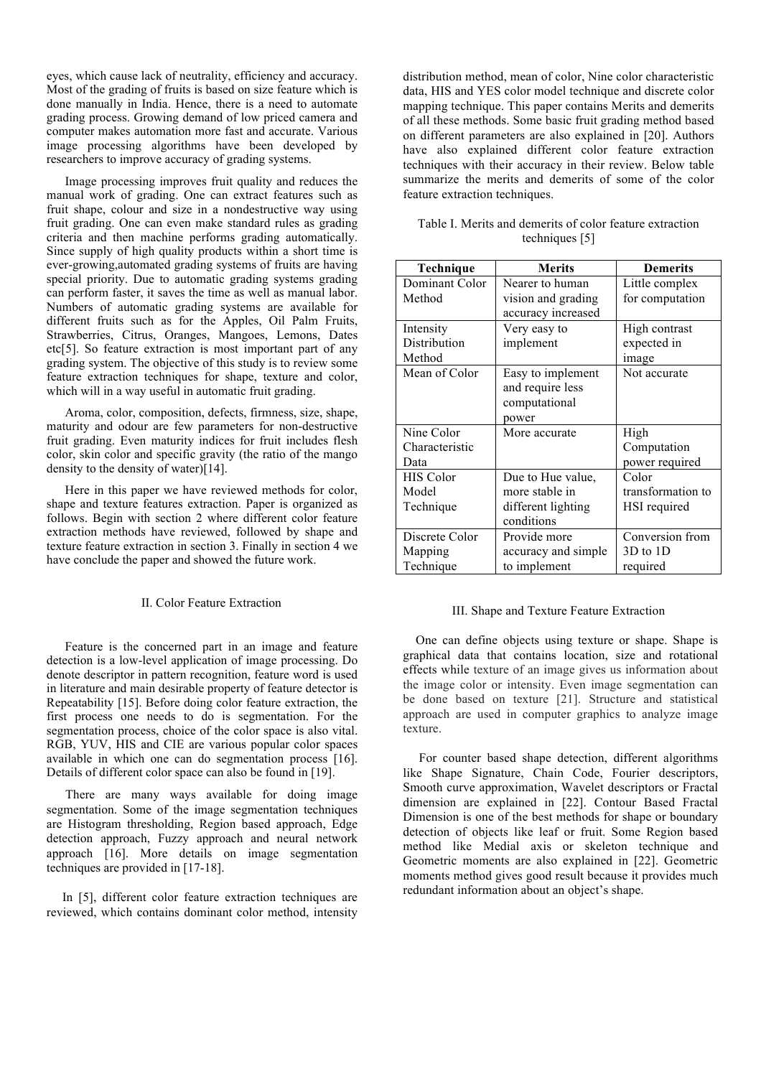eyes, which cause lack of neutrality, efficiency and accuracy. Most of the grading of fruits is based on size feature which is done manually in India. Hence, there is a need to automate grading process. Growing demand of low priced camera and computer makes automation more fast and accurate. Various image processing algorithms have been developed by researchers to improve accuracy of grading systems.

Image processing improves fruit quality and reduces the manual work of grading. One can extract features such as fruit shape, colour and size in a nondestructive way using fruit grading. One can even make standard rules as grading criteria and then machine performs grading automatically. Since supply of high quality products within a short time is ever-growing,automated grading systems of fruits are having special priority. Due to automatic grading systems grading can perform faster, it saves the time as well as manual labor. Numbers of automatic grading systems are available for different fruits such as for the Apples, Oil Palm Fruits, Strawberries, Citrus, Oranges, Mangoes, Lemons, Dates etc[5]. So feature extraction is most important part of any grading system. The objective of this study is to review some feature extraction techniques for shape, texture and color, which will in a way useful in automatic fruit grading.

Aroma, color, composition, defects, firmness, size, shape, maturity and odour are few parameters for non-destructive fruit grading. Even maturity indices for fruit includes flesh color, skin color and specific gravity (the ratio of the mango density to the density of water)[14].

Here in this paper we have reviewed methods for color, shape and texture features extraction. Paper is organized as follows. Begin with section 2 where different color feature extraction methods have reviewed, followed by shape and texture feature extraction in section 3. Finally in section 4 we have conclude the paper and showed the future work.

## II. Color Feature Extraction

Feature is the concerned part in an image and feature detection is a low-level application of image processing. Do denote descriptor in pattern recognition, feature word is used in literature and main desirable property of feature detector is Repeatability [15]. Before doing color feature extraction, the first process one needs to do is segmentation. For the segmentation process, choice of the color space is also vital. RGB, YUV, HIS and CIE are various popular color spaces available in which one can do segmentation process [16]. Details of different color space can also be found in [19].

 There are many ways available for doing image segmentation. Some of the image segmentation techniques are Histogram thresholding, Region based approach, Edge detection approach, Fuzzy approach and neural network approach [16]. More details on image segmentation techniques are provided in [17-18].

 In [5], different color feature extraction techniques are reviewed, which contains dominant color method, intensity

distribution method, mean of color, Nine color characteristic data, HIS and YES color model technique and discrete color mapping technique. This paper contains Merits and demerits of all these methods. Some basic fruit grading method based on different parameters are also explained in [20]. Authors have also explained different color feature extraction techniques with their accuracy in their review. Below table summarize the merits and demerits of some of the color feature extraction techniques.

| Table I. Merits and demerits of color feature extraction |                |  |  |
|----------------------------------------------------------|----------------|--|--|
|                                                          | techniques [5] |  |  |

| Technique        | <b>Merits</b>       | <b>Demerits</b>   |  |
|------------------|---------------------|-------------------|--|
| Dominant Color   | Nearer to human     | Little complex    |  |
| Method           | vision and grading  | for computation   |  |
|                  | accuracy increased  |                   |  |
| Intensity        | Very easy to        | High contrast     |  |
| Distribution     | implement           | expected in       |  |
| Method           |                     | image             |  |
| Mean of Color    | Easy to implement   | Not accurate      |  |
|                  | and require less    |                   |  |
|                  | computational       |                   |  |
|                  | power               |                   |  |
| Nine Color       | More accurate       | High              |  |
| Characteristic   |                     | Computation       |  |
| Data             |                     | power required    |  |
| <b>HIS Color</b> | Due to Hue value,   | Color             |  |
| Model            | more stable in      | transformation to |  |
| Technique        | different lighting  | HSI required      |  |
|                  | conditions          |                   |  |
| Discrete Color   | Provide more        | Conversion from   |  |
| Mapping          | accuracy and simple | $3D$ to $1D$      |  |
| Technique        | to implement        | required          |  |

## III. Shape and Texture Feature Extraction

 One can define objects using texture or shape. Shape is graphical data that contains location, size and rotational effects while texture of an image gives us information about the image color or intensity. Even image segmentation can be done based on texture [21]. Structure and statistical approach are used in computer graphics to analyze image texture.

 For counter based shape detection, different algorithms like Shape Signature, Chain Code, Fourier descriptors, Smooth curve approximation, Wavelet descriptors or Fractal dimension are explained in [22]. Contour Based Fractal Dimension is one of the best methods for shape or boundary detection of objects like leaf or fruit. Some Region based method like Medial axis or skeleton technique and Geometric moments are also explained in [22]. Geometric moments method gives good result because it provides much redundant information about an object's shape.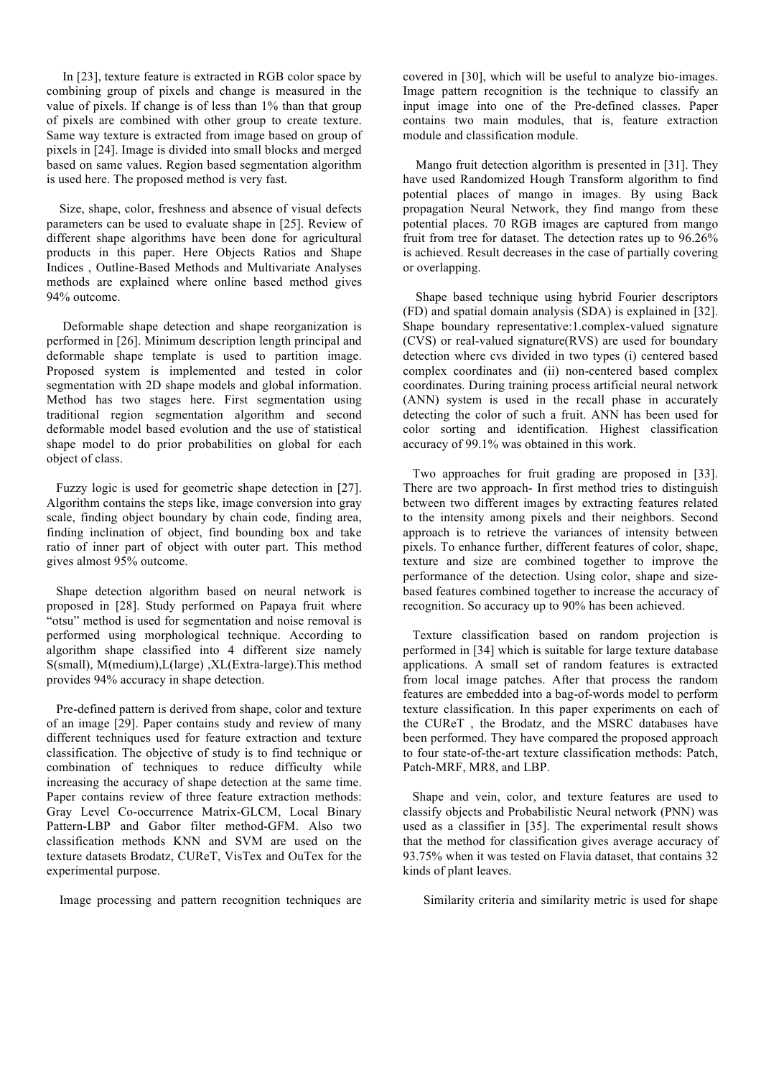In [23], texture feature is extracted in RGB color space by combining group of pixels and change is measured in the value of pixels. If change is of less than 1% than that group of pixels are combined with other group to create texture. Same way texture is extracted from image based on group of pixels in [24]. Image is divided into small blocks and merged based on same values. Region based segmentation algorithm is used here. The proposed method is very fast.

 Size, shape, color, freshness and absence of visual defects parameters can be used to evaluate shape in [25]. Review of different shape algorithms have been done for agricultural products in this paper. Here Objects Ratios and Shape Indices , Outline-Based Methods and Multivariate Analyses methods are explained where online based method gives 94% outcome.

 Deformable shape detection and shape reorganization is performed in [26]. Minimum description length principal and deformable shape template is used to partition image. Proposed system is implemented and tested in color segmentation with 2D shape models and global information. Method has two stages here. First segmentation using traditional region segmentation algorithm and second deformable model based evolution and the use of statistical shape model to do prior probabilities on global for each object of class.

 Fuzzy logic is used for geometric shape detection in [27]. Algorithm contains the steps like, image conversion into gray scale, finding object boundary by chain code, finding area, finding inclination of object, find bounding box and take ratio of inner part of object with outer part. This method gives almost 95% outcome.

 Shape detection algorithm based on neural network is proposed in [28]. Study performed on Papaya fruit where "otsu" method is used for segmentation and noise removal is performed using morphological technique. According to algorithm shape classified into 4 different size namely S(small), M(medium),L(large) ,XL(Extra-large).This method provides 94% accuracy in shape detection.

 Pre-defined pattern is derived from shape, color and texture of an image [29]. Paper contains study and review of many different techniques used for feature extraction and texture classification. The objective of study is to find technique or combination of techniques to reduce difficulty while increasing the accuracy of shape detection at the same time. Paper contains review of three feature extraction methods: Gray Level Co-occurrence Matrix-GLCM, Local Binary Pattern-LBP and Gabor filter method-GFM. Also two classification methods KNN and SVM are used on the texture datasets Brodatz, CUReT, VisTex and OuTex for the experimental purpose.

Image processing and pattern recognition techniques are

covered in [30], which will be useful to analyze bio-images. Image pattern recognition is the technique to classify an input image into one of the Pre-defined classes. Paper contains two main modules, that is, feature extraction module and classification module.

 Mango fruit detection algorithm is presented in [31]. They have used Randomized Hough Transform algorithm to find potential places of mango in images. By using Back propagation Neural Network, they find mango from these potential places. 70 RGB images are captured from mango fruit from tree for dataset. The detection rates up to 96.26% is achieved. Result decreases in the case of partially covering or overlapping.

 Shape based technique using hybrid Fourier descriptors (FD) and spatial domain analysis (SDA) is explained in [32]. Shape boundary representative:1.complex-valued signature (CVS) or real-valued signature(RVS) are used for boundary detection where cvs divided in two types (i) centered based complex coordinates and (ii) non-centered based complex coordinates. During training process artificial neural network (ANN) system is used in the recall phase in accurately detecting the color of such a fruit. ANN has been used for color sorting and identification. Highest classification accuracy of 99.1% was obtained in this work.

 Two approaches for fruit grading are proposed in [33]. There are two approach- In first method tries to distinguish between two different images by extracting features related to the intensity among pixels and their neighbors. Second approach is to retrieve the variances of intensity between pixels. To enhance further, different features of color, shape, texture and size are combined together to improve the performance of the detection. Using color, shape and sizebased features combined together to increase the accuracy of recognition. So accuracy up to 90% has been achieved.

 Texture classification based on random projection is performed in [34] which is suitable for large texture database applications. A small set of random features is extracted from local image patches. After that process the random features are embedded into a bag-of-words model to perform texture classification. In this paper experiments on each of the CUReT , the Brodatz, and the MSRC databases have been performed. They have compared the proposed approach to four state-of-the-art texture classification methods: Patch, Patch-MRF, MR8, and LBP.

 Shape and vein, color, and texture features are used to classify objects and Probabilistic Neural network (PNN) was used as a classifier in [35]. The experimental result shows that the method for classification gives average accuracy of 93.75% when it was tested on Flavia dataset, that contains 32 kinds of plant leaves.

Similarity criteria and similarity metric is used for shape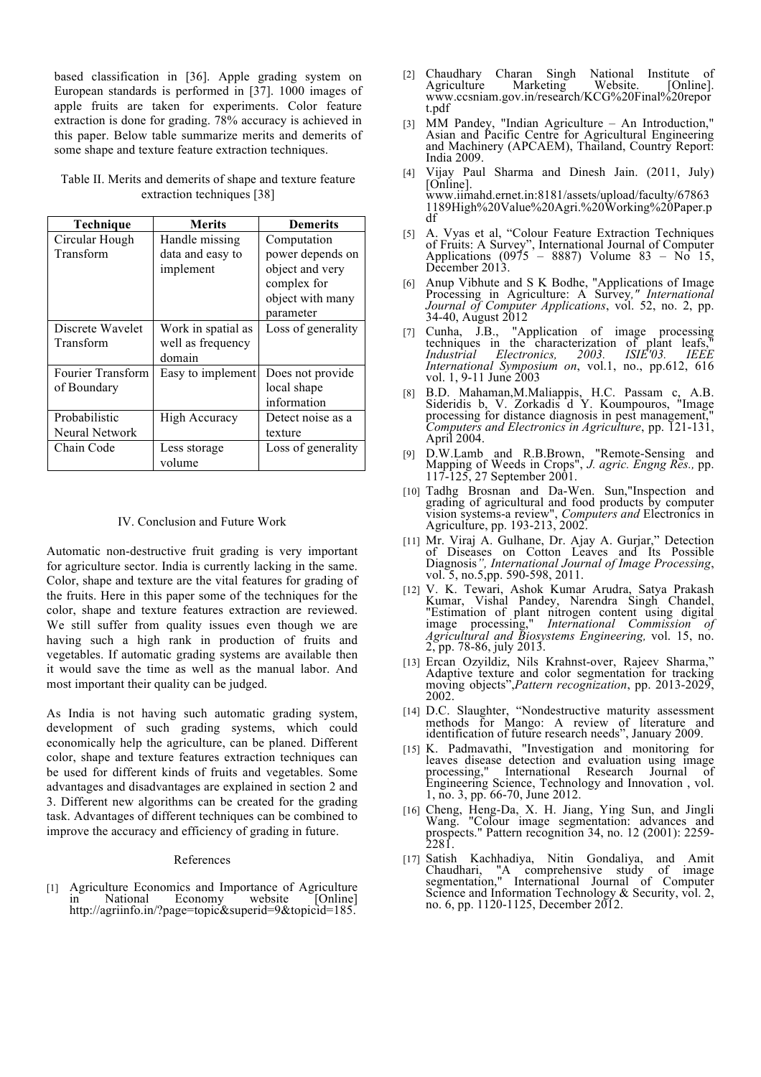based classification in [36]. Apple grading system on European standards is performed in [37]. 1000 images of apple fruits are taken for experiments. Color feature extraction is done for grading. 78% accuracy is achieved in this paper. Below table summarize merits and demerits of some shape and texture feature extraction techniques.

Table II. Merits and demerits of shape and texture feature extraction techniques [38]

| <b>Technique</b>      | <b>Merits</b>      | <b>Demerits</b>    |  |
|-----------------------|--------------------|--------------------|--|
| Circular Hough        | Handle missing     | Computation        |  |
| Transform             | data and easy to   | power depends on   |  |
|                       | implement          | object and very    |  |
|                       |                    | complex for        |  |
|                       |                    | object with many   |  |
|                       |                    | parameter          |  |
| Discrete Wavelet      | Work in spatial as | Loss of generality |  |
| Transform             | well as frequency  |                    |  |
|                       | domain             |                    |  |
| Fourier Transform     | Easy to implement  | Does not provide   |  |
| of Boundary           |                    | local shape        |  |
|                       |                    | information        |  |
| Probabilistic         | High Accuracy      | Detect noise as a  |  |
| <b>Neural Network</b> |                    | texture            |  |
| Chain Code            | Less storage       | Loss of generality |  |
|                       | volume             |                    |  |

# IV. Conclusion and Future Work

Automatic non-destructive fruit grading is very important for agriculture sector. India is currently lacking in the same. Color, shape and texture are the vital features for grading of the fruits. Here in this paper some of the techniques for the color, shape and texture features extraction are reviewed. We still suffer from quality issues even though we are having such a high rank in production of fruits and vegetables. If automatic grading systems are available then it would save the time as well as the manual labor. And most important their quality can be judged.

As India is not having such automatic grading system, development of such grading systems, which could economically help the agriculture, can be planed. Different color, shape and texture features extraction techniques can be used for different kinds of fruits and vegetables. Some advantages and disadvantages are explained in section 2 and 3. Different new algorithms can be created for the grading task. Advantages of different techniques can be combined to improve the accuracy and efficiency of grading in future.

## References

[1] Agriculture Economics and Importance of Agriculture Economy http://agriinfo.in/?page=topic&superid=9&topicid=185.

- [2] Chaudhary Charan Singh National Institute of Agriculture Marketing Website. [Online]. www.ccsniam.gov.in/research/KCG%20Final%20repor t.pdf
- [3] MM Pandey, "Indian Agriculture An Introduction," Asian and Pacific Centre for Agricultural Engineering and Machinery (APCAEM), Thailand, Country Report: India 2009.
- [4] Vijay Paul Sharma and Dinesh Jain. (2011, July) [Online]. www.iimahd.ernet.in:8181/assets/upload/faculty/67863 1189High%20Value%20Agri.%20Working%20Paper.p df
- [5] A. Vyas et al, "Colour Feature Extraction Techniques of Fruits: A Survey", International Journal of Computer Applications (0975 – 8887) Volume 83 – No 15, December 2013.
- [6] Anup Vibhute and S K Bodhe, "Applications of Image Processing in Agriculture: A Survey*," International Journal of Computer Applications*, vol. 52, no. 2, pp. 34-40, August 2012
- [7] Cunha, J.B., "Application of image processing techniques in the characterization of plant leafs," *Industrial Electronics, 2003. ISIE'03. IEEE International Symposium on*, vol.1, no., pp.612, 616 vol. 1, 9-11 June 2003
- [8] B.D. Mahaman,M.Maliappis, H.C. Passam c, A.B. Sideridis b, V. Zorkadis d Y. Koumpouros, "Image processing for distance diagnosis in pest management," *Computers and Electronics in Agriculture*, pp. 121-131, April 2004.
- [9] D.W.Lamb and R.B.Brown, "Remote-Sensing and Mapping of Weeds in Crops", *J. agric. Engng Res.,* pp. 117-125, 27 September 2001.
- [10] Tadhg Brosnan and Da-Wen. Sun,"Inspection and grading of agricultural and food products by computer vision systems-a review", *Computers and* Electronics in Agriculture, pp. 193-213, 2002.
- [11] Mr. Viraj A. Gulhane, Dr. Ajay A. Gurjar," Detection of Diseases on Cotton Leaves and Its Possible Diagnosis*", International Journal of Image Processing*, vol. 5, no.5,pp. 590-598, 2011.
- [12] V. K. Tewari, Ashok Kumar Arudra, Satya Prakash Kumar, Vishal Pandey, Narendra Singh Chandel, "Estimation of plant nitrogen content using digital image processing," *International Commission of Agricultural and Biosystems Engineering,* vol. 15, no. 2, pp. 78-86, july 2013.
- [13] Ercan Ozyildiz, Nils Krahnst-over, Rajeev Sharma," moving objects",*Pattern recognization*, pp. 2013-2029, 2002.
- [14] D.C. Slaughter, "Nondestructive maturity assessment methods for Mango: A review of literature and identification of future research needs", January 2009.
- [15] K. Padmavathi, "Investigation and monitoring for leaves disease detection and evaluation using image<br>processing," International Research Journal of International Research Journal of Engineering Science, Technology and Innovation , vol. 1, no. 3, pp. 66-70, June 2012.
- [16] Cheng, Heng-Da, X. H. Jiang, Ying Sun, and Jingli Wang. "Colour image segmentation: advances and prospects." Pattern recognition 34, no. 12 (2001): 2259-<br>2281.
- [17] Satish Kachhadiya, Nitin Gondaliya, and Amit Chaudhari, "A comprehensive study of image segmentation," International Journal of Computer Science and Information Technology & Security, vol. 2, no. 6, pp. 1120-1125, December 2012.